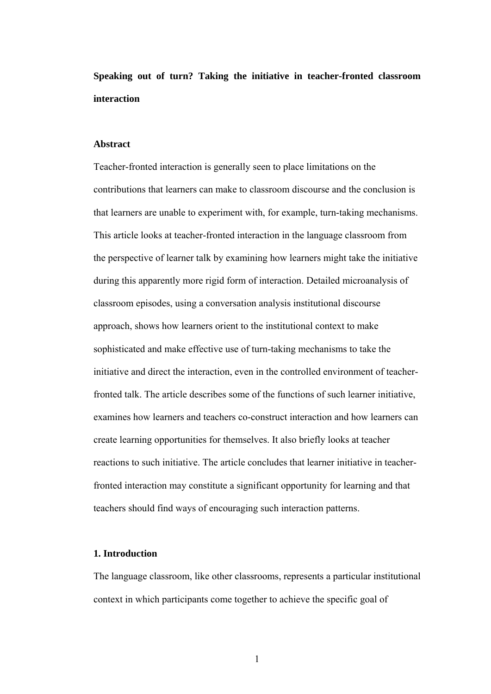**Speaking out of turn? Taking the initiative in teacher-fronted classroom interaction** 

# **Abstract**

Teacher-fronted interaction is generally seen to place limitations on the contributions that learners can make to classroom discourse and the conclusion is that learners are unable to experiment with, for example, turn-taking mechanisms. This article looks at teacher-fronted interaction in the language classroom from the perspective of learner talk by examining how learners might take the initiative during this apparently more rigid form of interaction. Detailed microanalysis of classroom episodes, using a conversation analysis institutional discourse approach, shows how learners orient to the institutional context to make sophisticated and make effective use of turn-taking mechanisms to take the initiative and direct the interaction, even in the controlled environment of teacherfronted talk. The article describes some of the functions of such learner initiative, examines how learners and teachers co-construct interaction and how learners can create learning opportunities for themselves. It also briefly looks at teacher reactions to such initiative. The article concludes that learner initiative in teacherfronted interaction may constitute a significant opportunity for learning and that teachers should find ways of encouraging such interaction patterns.

### **1. Introduction**

The language classroom, like other classrooms, represents a particular institutional context in which participants come together to achieve the specific goal of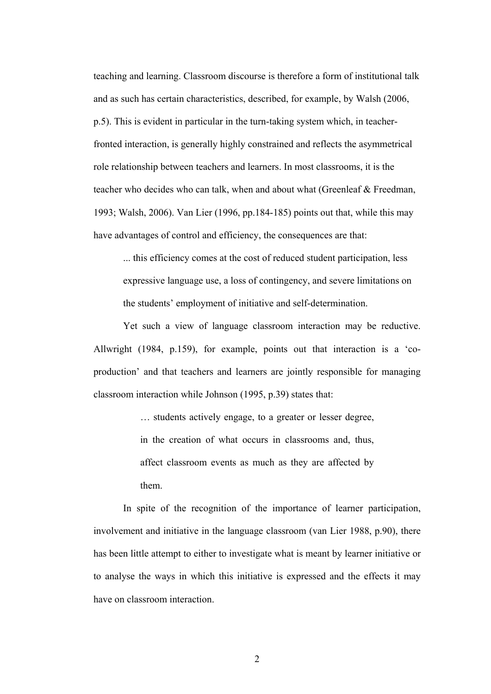teaching and learning. Classroom discourse is therefore a form of institutional talk and as such has certain characteristics, described, for example, by Walsh (2006, p.5). This is evident in particular in the turn-taking system which, in teacherfronted interaction, is generally highly constrained and reflects the asymmetrical role relationship between teachers and learners. In most classrooms, it is the teacher who decides who can talk, when and about what (Greenleaf & Freedman, 1993; Walsh, 2006). Van Lier (1996, pp.184-185) points out that, while this may have advantages of control and efficiency, the consequences are that:

... this efficiency comes at the cost of reduced student participation, less expressive language use, a loss of contingency, and severe limitations on the students' employment of initiative and self-determination.

Yet such a view of language classroom interaction may be reductive. Allwright (1984, p.159), for example, points out that interaction is a 'coproduction' and that teachers and learners are jointly responsible for managing classroom interaction while Johnson (1995, p.39) states that:

> … students actively engage, to a greater or lesser degree, in the creation of what occurs in classrooms and, thus, affect classroom events as much as they are affected by them.

In spite of the recognition of the importance of learner participation, involvement and initiative in the language classroom (van Lier 1988, p.90), there has been little attempt to either to investigate what is meant by learner initiative or to analyse the ways in which this initiative is expressed and the effects it may have on classroom interaction.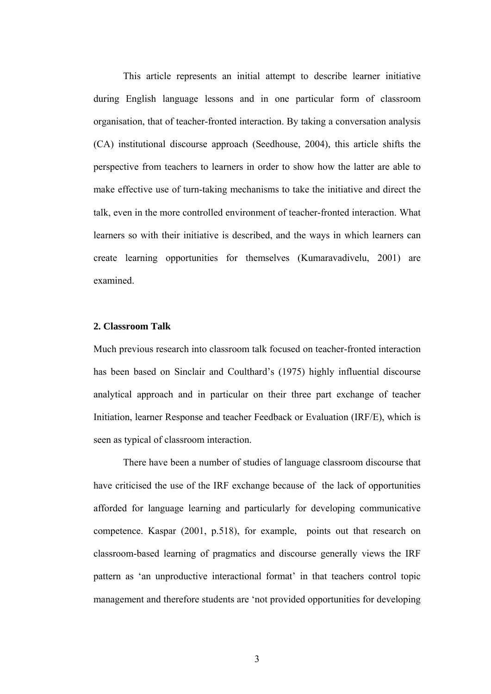This article represents an initial attempt to describe learner initiative during English language lessons and in one particular form of classroom organisation, that of teacher-fronted interaction. By taking a conversation analysis (CA) institutional discourse approach (Seedhouse, 2004), this article shifts the perspective from teachers to learners in order to show how the latter are able to make effective use of turn-taking mechanisms to take the initiative and direct the talk, even in the more controlled environment of teacher-fronted interaction. What learners so with their initiative is described, and the ways in which learners can create learning opportunities for themselves (Kumaravadivelu, 2001) are examined.

### **2. Classroom Talk**

Much previous research into classroom talk focused on teacher-fronted interaction has been based on Sinclair and Coulthard's (1975) highly influential discourse analytical approach and in particular on their three part exchange of teacher Initiation, learner Response and teacher Feedback or Evaluation (IRF/E), which is seen as typical of classroom interaction.

 There have been a number of studies of language classroom discourse that have criticised the use of the IRF exchange because of the lack of opportunities afforded for language learning and particularly for developing communicative competence. Kaspar (2001, p.518), for example, points out that research on classroom-based learning of pragmatics and discourse generally views the IRF pattern as 'an unproductive interactional format' in that teachers control topic management and therefore students are 'not provided opportunities for developing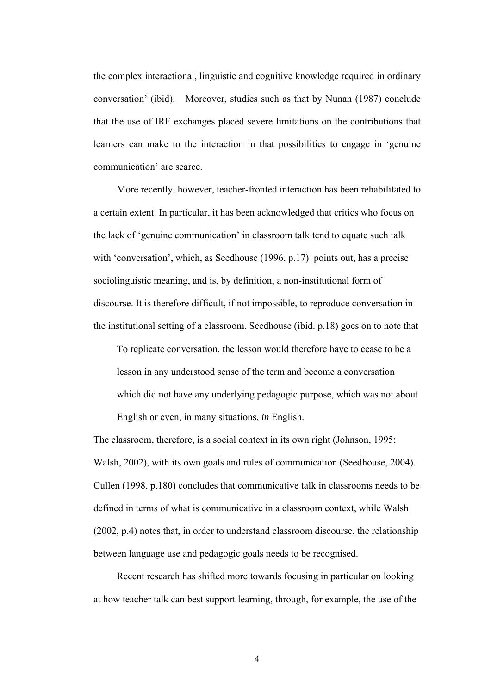the complex interactional, linguistic and cognitive knowledge required in ordinary conversation' (ibid). Moreover, studies such as that by Nunan (1987) conclude that the use of IRF exchanges placed severe limitations on the contributions that learners can make to the interaction in that possibilities to engage in 'genuine communication' are scarce.

More recently, however, teacher-fronted interaction has been rehabilitated to a certain extent. In particular, it has been acknowledged that critics who focus on the lack of 'genuine communication' in classroom talk tend to equate such talk with 'conversation', which, as Seedhouse (1996, p.17) points out, has a precise sociolinguistic meaning, and is, by definition, a non-institutional form of discourse. It is therefore difficult, if not impossible, to reproduce conversation in the institutional setting of a classroom. Seedhouse (ibid. p.18) goes on to note that

To replicate conversation, the lesson would therefore have to cease to be a lesson in any understood sense of the term and become a conversation which did not have any underlying pedagogic purpose, which was not about English or even, in many situations, *in* English.

The classroom, therefore, is a social context in its own right (Johnson, 1995; Walsh, 2002), with its own goals and rules of communication (Seedhouse, 2004). Cullen (1998, p.180) concludes that communicative talk in classrooms needs to be defined in terms of what is communicative in a classroom context, while Walsh (2002, p.4) notes that, in order to understand classroom discourse, the relationship between language use and pedagogic goals needs to be recognised.

Recent research has shifted more towards focusing in particular on looking at how teacher talk can best support learning, through, for example, the use of the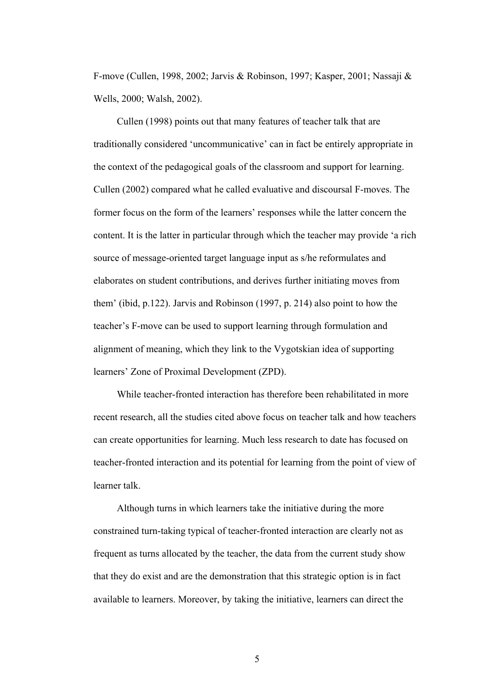F-move (Cullen, 1998, 2002; Jarvis & Robinson, 1997; Kasper, 2001; Nassaji & Wells, 2000; Walsh, 2002).

Cullen (1998) points out that many features of teacher talk that are traditionally considered 'uncommunicative' can in fact be entirely appropriate in the context of the pedagogical goals of the classroom and support for learning. Cullen (2002) compared what he called evaluative and discoursal F-moves. The former focus on the form of the learners' responses while the latter concern the content. It is the latter in particular through which the teacher may provide 'a rich source of message-oriented target language input as s/he reformulates and elaborates on student contributions, and derives further initiating moves from them' (ibid, p.122). Jarvis and Robinson (1997, p. 214) also point to how the teacher's F-move can be used to support learning through formulation and alignment of meaning, which they link to the Vygotskian idea of supporting learners' Zone of Proximal Development (ZPD).

While teacher-fronted interaction has therefore been rehabilitated in more recent research, all the studies cited above focus on teacher talk and how teachers can create opportunities for learning. Much less research to date has focused on teacher-fronted interaction and its potential for learning from the point of view of learner talk.

Although turns in which learners take the initiative during the more constrained turn-taking typical of teacher-fronted interaction are clearly not as frequent as turns allocated by the teacher, the data from the current study show that they do exist and are the demonstration that this strategic option is in fact available to learners. Moreover, by taking the initiative, learners can direct the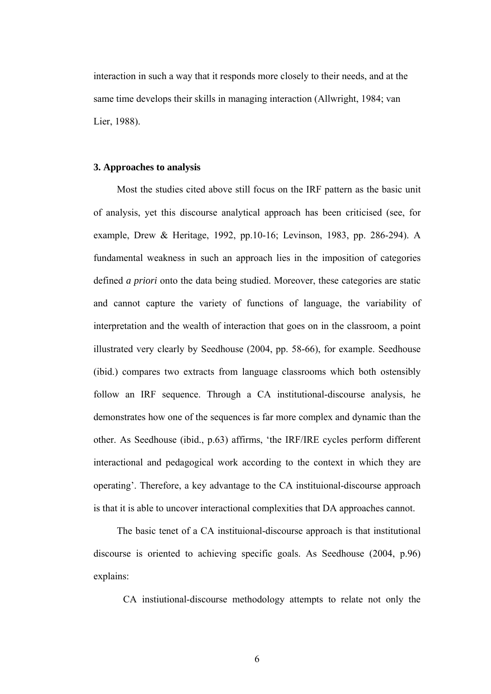interaction in such a way that it responds more closely to their needs, and at the same time develops their skills in managing interaction (Allwright, 1984; van Lier, 1988).

### **3. Approaches to analysis**

Most the studies cited above still focus on the IRF pattern as the basic unit of analysis, yet this discourse analytical approach has been criticised (see, for example, Drew & Heritage, 1992, pp.10-16; Levinson, 1983, pp. 286-294). A fundamental weakness in such an approach lies in the imposition of categories defined *a priori* onto the data being studied. Moreover, these categories are static and cannot capture the variety of functions of language, the variability of interpretation and the wealth of interaction that goes on in the classroom, a point illustrated very clearly by Seedhouse (2004, pp. 58-66), for example. Seedhouse (ibid.) compares two extracts from language classrooms which both ostensibly follow an IRF sequence. Through a CA institutional-discourse analysis, he demonstrates how one of the sequences is far more complex and dynamic than the other. As Seedhouse (ibid., p.63) affirms, 'the IRF/IRE cycles perform different interactional and pedagogical work according to the context in which they are operating'. Therefore, a key advantage to the CA instituional-discourse approach is that it is able to uncover interactional complexities that DA approaches cannot.

The basic tenet of a CA instituional-discourse approach is that institutional discourse is oriented to achieving specific goals. As Seedhouse (2004, p.96) explains:

CA instiutional-discourse methodology attempts to relate not only the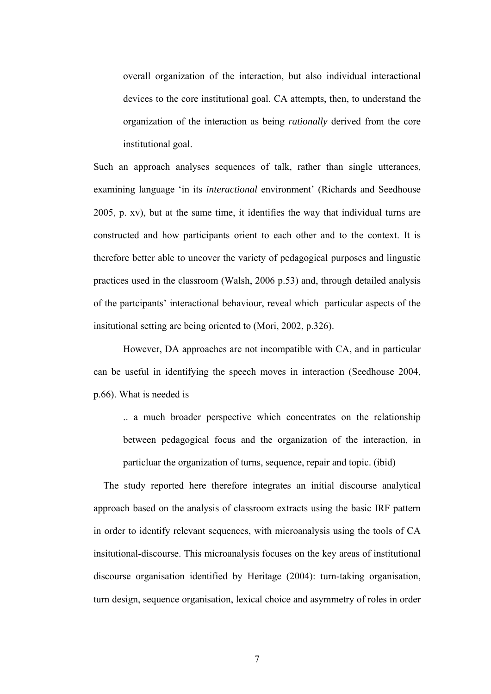overall organization of the interaction, but also individual interactional devices to the core institutional goal. CA attempts, then, to understand the organization of the interaction as being *rationally* derived from the core institutional goal.

Such an approach analyses sequences of talk, rather than single utterances, examining language 'in its *interactional* environment' (Richards and Seedhouse 2005, p. xv), but at the same time, it identifies the way that individual turns are constructed and how participants orient to each other and to the context. It is therefore better able to uncover the variety of pedagogical purposes and lingustic practices used in the classroom (Walsh, 2006 p.53) and, through detailed analysis of the partcipants' interactional behaviour, reveal which particular aspects of the insitutional setting are being oriented to (Mori, 2002, p.326).

However, DA approaches are not incompatible with CA, and in particular can be useful in identifying the speech moves in interaction (Seedhouse 2004, p.66). What is needed is

.. a much broader perspective which concentrates on the relationship between pedagogical focus and the organization of the interaction, in particluar the organization of turns, sequence, repair and topic. (ibid)

 The study reported here therefore integrates an initial discourse analytical approach based on the analysis of classroom extracts using the basic IRF pattern in order to identify relevant sequences, with microanalysis using the tools of CA insitutional-discourse. This microanalysis focuses on the key areas of institutional discourse organisation identified by Heritage (2004): turn-taking organisation, turn design, sequence organisation, lexical choice and asymmetry of roles in order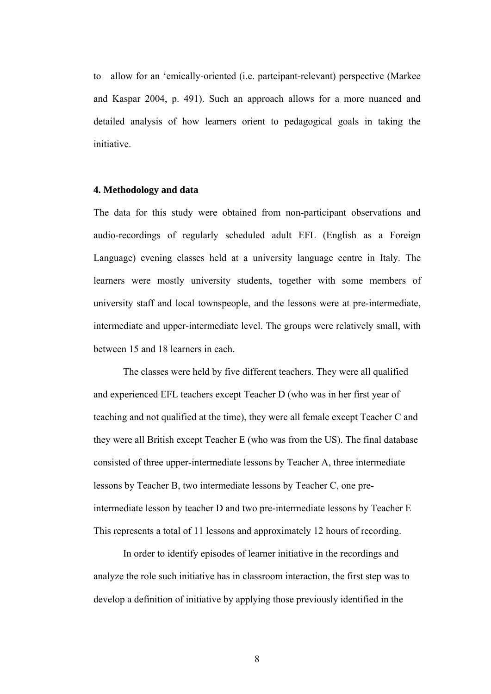to allow for an 'emically-oriented (i.e. partcipant-relevant) perspective (Markee and Kaspar 2004, p. 491). Such an approach allows for a more nuanced and detailed analysis of how learners orient to pedagogical goals in taking the initiative.

## **4. Methodology and data**

The data for this study were obtained from non-participant observations and audio-recordings of regularly scheduled adult EFL (English as a Foreign Language) evening classes held at a university language centre in Italy. The learners were mostly university students, together with some members of university staff and local townspeople, and the lessons were at pre-intermediate, intermediate and upper-intermediate level. The groups were relatively small, with between 15 and 18 learners in each.

The classes were held by five different teachers. They were all qualified and experienced EFL teachers except Teacher D (who was in her first year of teaching and not qualified at the time), they were all female except Teacher C and they were all British except Teacher E (who was from the US). The final database consisted of three upper-intermediate lessons by Teacher A, three intermediate lessons by Teacher B, two intermediate lessons by Teacher C, one preintermediate lesson by teacher D and two pre-intermediate lessons by Teacher E This represents a total of 11 lessons and approximately 12 hours of recording.

In order to identify episodes of learner initiative in the recordings and analyze the role such initiative has in classroom interaction, the first step was to develop a definition of initiative by applying those previously identified in the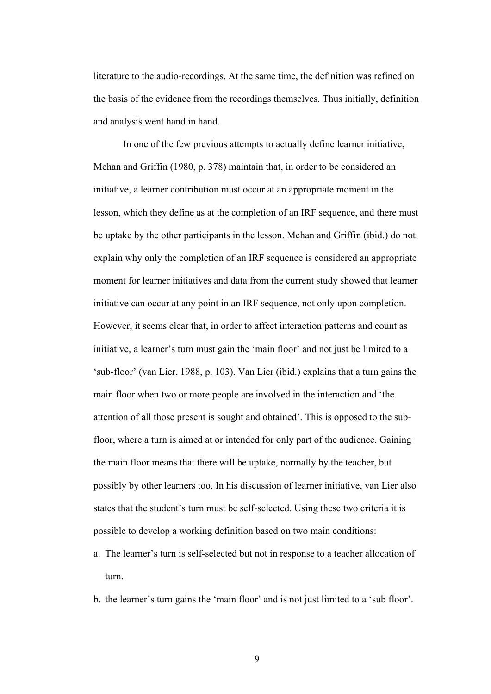literature to the audio-recordings. At the same time, the definition was refined on the basis of the evidence from the recordings themselves. Thus initially, definition and analysis went hand in hand.

In one of the few previous attempts to actually define learner initiative, Mehan and Griffin (1980, p. 378) maintain that, in order to be considered an initiative, a learner contribution must occur at an appropriate moment in the lesson, which they define as at the completion of an IRF sequence, and there must be uptake by the other participants in the lesson. Mehan and Griffin (ibid.) do not explain why only the completion of an IRF sequence is considered an appropriate moment for learner initiatives and data from the current study showed that learner initiative can occur at any point in an IRF sequence, not only upon completion. However, it seems clear that, in order to affect interaction patterns and count as initiative, a learner's turn must gain the 'main floor' and not just be limited to a 'sub-floor' (van Lier, 1988, p. 103). Van Lier (ibid.) explains that a turn gains the main floor when two or more people are involved in the interaction and 'the attention of all those present is sought and obtained'. This is opposed to the subfloor, where a turn is aimed at or intended for only part of the audience. Gaining the main floor means that there will be uptake, normally by the teacher, but possibly by other learners too. In his discussion of learner initiative, van Lier also states that the student's turn must be self-selected. Using these two criteria it is possible to develop a working definition based on two main conditions:

- a. The learner's turn is self-selected but not in response to a teacher allocation of turn.
- b. the learner's turn gains the 'main floor' and is not just limited to a 'sub floor'.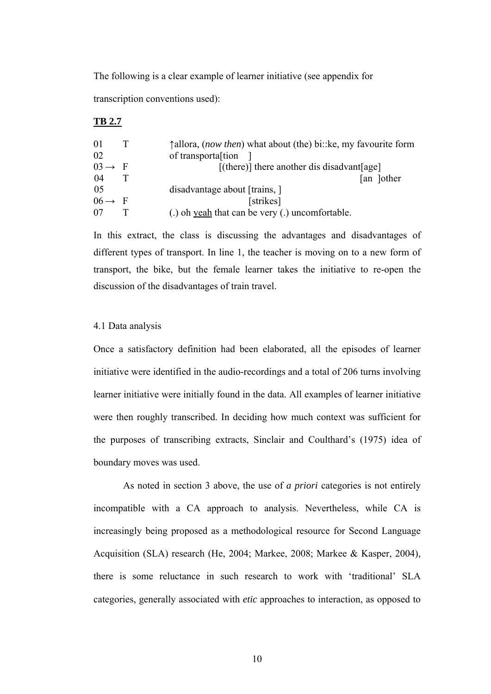The following is a clear example of learner initiative (see appendix for transcription conventions used):

### **TB 2.7**

| $\overline{01}$    |     | $\uparrow$ allora, (now then) what about (the) bi:: ke, my favourite form |
|--------------------|-----|---------------------------------------------------------------------------|
| 02                 |     | of transportal tion                                                       |
| $03 \rightarrow$   | - F | $[$ (there)] there another dis disadvant $[$ age]                         |
| -04                |     | an Jother                                                                 |
| 05                 |     | disadvantage about [trains, ]                                             |
| $06 \rightarrow F$ |     | [strikes]                                                                 |
| 07                 |     | (.) oh yeah that can be very (.) uncomfortable.                           |

In this extract, the class is discussing the advantages and disadvantages of different types of transport. In line 1, the teacher is moving on to a new form of transport, the bike, but the female learner takes the initiative to re-open the discussion of the disadvantages of train travel.

## 4.1 Data analysis

Once a satisfactory definition had been elaborated, all the episodes of learner initiative were identified in the audio-recordings and a total of 206 turns involving learner initiative were initially found in the data. All examples of learner initiative were then roughly transcribed. In deciding how much context was sufficient for the purposes of transcribing extracts, Sinclair and Coulthard's (1975) idea of boundary moves was used.

As noted in section 3 above, the use of *a priori* categories is not entirely incompatible with a CA approach to analysis. Nevertheless, while CA is increasingly being proposed as a methodological resource for Second Language Acquisition (SLA) research (He, 2004; Markee, 2008; Markee & Kasper, 2004), there is some reluctance in such research to work with 'traditional' SLA categories, generally associated with *etic* approaches to interaction, as opposed to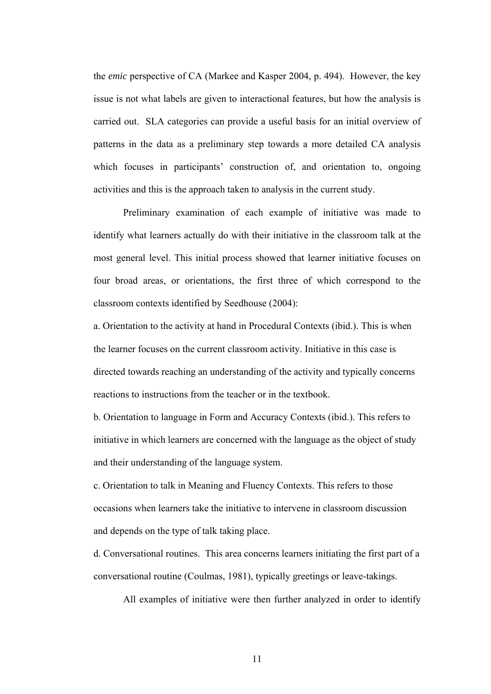the *emic* perspective of CA (Markee and Kasper 2004, p. 494). However, the key issue is not what labels are given to interactional features, but how the analysis is carried out. SLA categories can provide a useful basis for an initial overview of patterns in the data as a preliminary step towards a more detailed CA analysis which focuses in participants' construction of, and orientation to, ongoing activities and this is the approach taken to analysis in the current study.

Preliminary examination of each example of initiative was made to identify what learners actually do with their initiative in the classroom talk at the most general level. This initial process showed that learner initiative focuses on four broad areas, or orientations, the first three of which correspond to the classroom contexts identified by Seedhouse (2004):

a. Orientation to the activity at hand in Procedural Contexts (ibid.). This is when the learner focuses on the current classroom activity. Initiative in this case is directed towards reaching an understanding of the activity and typically concerns reactions to instructions from the teacher or in the textbook.

b. Orientation to language in Form and Accuracy Contexts (ibid.). This refers to initiative in which learners are concerned with the language as the object of study and their understanding of the language system.

c. Orientation to talk in Meaning and Fluency Contexts. This refers to those occasions when learners take the initiative to intervene in classroom discussion and depends on the type of talk taking place.

d. Conversational routines. This area concerns learners initiating the first part of a conversational routine (Coulmas, 1981), typically greetings or leave-takings.

All examples of initiative were then further analyzed in order to identify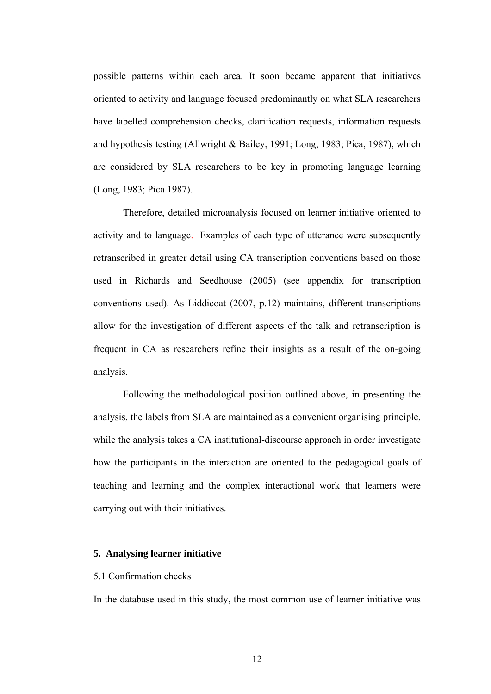possible patterns within each area. It soon became apparent that initiatives oriented to activity and language focused predominantly on what SLA researchers have labelled comprehension checks, clarification requests, information requests and hypothesis testing (Allwright & Bailey, 1991; Long, 1983; Pica, 1987), which are considered by SLA researchers to be key in promoting language learning (Long, 1983; Pica 1987).

Therefore, detailed microanalysis focused on learner initiative oriented to activity and to language. Examples of each type of utterance were subsequently retranscribed in greater detail using CA transcription conventions based on those used in Richards and Seedhouse (2005) (see appendix for transcription conventions used). As Liddicoat (2007, p.12) maintains, different transcriptions allow for the investigation of different aspects of the talk and retranscription is frequent in CA as researchers refine their insights as a result of the on-going analysis.

Following the methodological position outlined above, in presenting the analysis, the labels from SLA are maintained as a convenient organising principle, while the analysis takes a CA institutional-discourse approach in order investigate how the participants in the interaction are oriented to the pedagogical goals of teaching and learning and the complex interactional work that learners were carrying out with their initiatives.

### **5. Analysing learner initiative**

### 5.1 Confirmation checks

In the database used in this study, the most common use of learner initiative was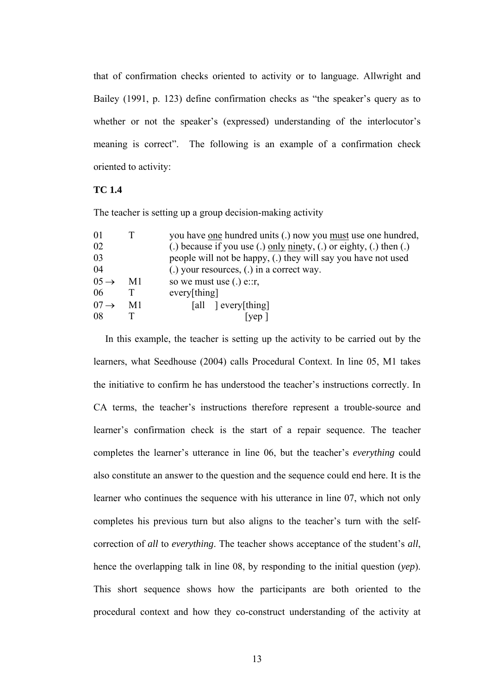that of confirmation checks oriented to activity or to language. Allwright and Bailey (1991, p. 123) define confirmation checks as "the speaker's query as to whether or not the speaker's (expressed) understanding of the interlocutor's meaning is correct". The following is an example of a confirmation check oriented to activity:

# **TC 1.4**

The teacher is setting up a group decision-making activity

| 01                |    | you have one hundred units (.) now you must use one hundred,        |
|-------------------|----|---------------------------------------------------------------------|
| 02                |    | (.) because if you use (.) only ninety, (.) or eighty, (.) then (.) |
| 03                |    | people will not be happy, (.) they will say you have not used       |
| 04                |    | (.) your resources, (.) in a correct way.                           |
| $0.5 \rightarrow$ | M1 | so we must use $(.)$ e:: $r$ ,                                      |
| 06                |    | every[thing]                                                        |
| $07 \rightarrow$  | M1 | [all ] every[thing]                                                 |
| 08                |    | ven                                                                 |
|                   |    |                                                                     |

 In this example, the teacher is setting up the activity to be carried out by the learners, what Seedhouse (2004) calls Procedural Context. In line 05, M1 takes the initiative to confirm he has understood the teacher's instructions correctly. In CA terms, the teacher's instructions therefore represent a trouble-source and learner's confirmation check is the start of a repair sequence. The teacher completes the learner's utterance in line 06, but the teacher's *everything* could also constitute an answer to the question and the sequence could end here. It is the learner who continues the sequence with his utterance in line 07, which not only completes his previous turn but also aligns to the teacher's turn with the selfcorrection of *all* to *everything*. The teacher shows acceptance of the student's *all*, hence the overlapping talk in line 08, by responding to the initial question (*yep*). This short sequence shows how the participants are both oriented to the procedural context and how they co-construct understanding of the activity at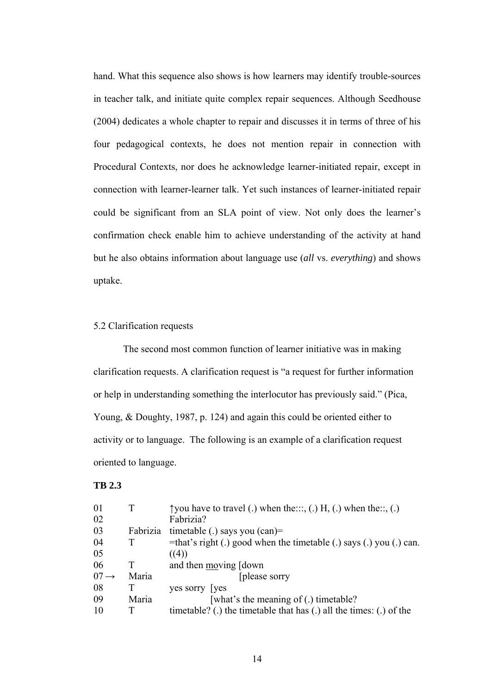hand. What this sequence also shows is how learners may identify trouble-sources in teacher talk, and initiate quite complex repair sequences. Although Seedhouse (2004) dedicates a whole chapter to repair and discusses it in terms of three of his four pedagogical contexts, he does not mention repair in connection with Procedural Contexts, nor does he acknowledge learner-initiated repair, except in connection with learner-learner talk. Yet such instances of learner-initiated repair could be significant from an SLA point of view. Not only does the learner's confirmation check enable him to achieve understanding of the activity at hand but he also obtains information about language use (*all* vs. *everything*) and shows uptake.

## 5.2 Clarification requests

 The second most common function of learner initiative was in making clarification requests. A clarification request is "a request for further information or help in understanding something the interlocutor has previously said." (Pica, Young, & Doughty, 1987, p. 124) and again this could be oriented either to activity or to language. The following is an example of a clarification request oriented to language.

## **TB 2.3**

| 01               |          | $\uparrow$ you have to travel (.) when the, (.) H, (.) when the, (.) |
|------------------|----------|----------------------------------------------------------------------|
| 02               |          | Fabrizia?                                                            |
| 03               | Fabrizia | timetable (.) says you $(can)$ =                                     |
| 04               |          | =that's right (.) good when the timetable (.) says (.) you (.) can.  |
| 05               |          | ((4))                                                                |
| 06               |          | and then moving [down]                                               |
| $07 \rightarrow$ | Maria    | [please sorry]                                                       |
| 08               |          | yes sorry [yes]                                                      |
| 09               | Maria    | [what's the meaning of (.) timetable?                                |
| 10               |          | timetable? (.) the timetable that has (.) all the times: (.) of the  |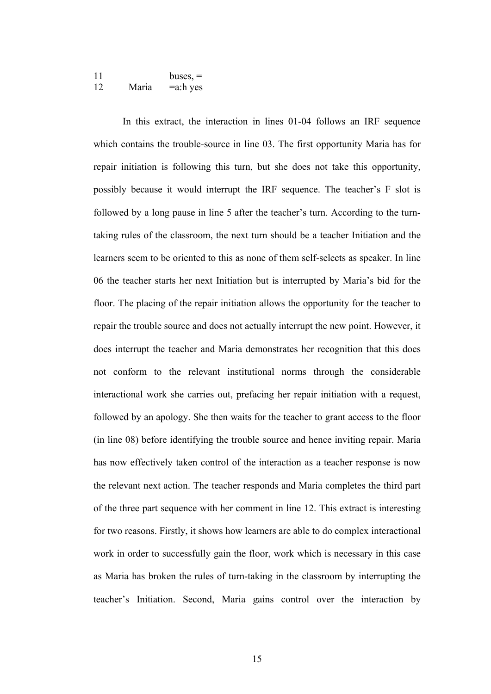| 11 |       | $buses$ , $=$ |
|----|-------|---------------|
| 12 | Maria | $=$ a:h yes   |

In this extract, the interaction in lines 01-04 follows an IRF sequence which contains the trouble-source in line 03. The first opportunity Maria has for repair initiation is following this turn, but she does not take this opportunity, possibly because it would interrupt the IRF sequence. The teacher's F slot is followed by a long pause in line 5 after the teacher's turn. According to the turntaking rules of the classroom, the next turn should be a teacher Initiation and the learners seem to be oriented to this as none of them self-selects as speaker. In line 06 the teacher starts her next Initiation but is interrupted by Maria's bid for the floor. The placing of the repair initiation allows the opportunity for the teacher to repair the trouble source and does not actually interrupt the new point. However, it does interrupt the teacher and Maria demonstrates her recognition that this does not conform to the relevant institutional norms through the considerable interactional work she carries out, prefacing her repair initiation with a request, followed by an apology. She then waits for the teacher to grant access to the floor (in line 08) before identifying the trouble source and hence inviting repair. Maria has now effectively taken control of the interaction as a teacher response is now the relevant next action. The teacher responds and Maria completes the third part of the three part sequence with her comment in line 12. This extract is interesting for two reasons. Firstly, it shows how learners are able to do complex interactional work in order to successfully gain the floor, work which is necessary in this case as Maria has broken the rules of turn-taking in the classroom by interrupting the teacher's Initiation. Second, Maria gains control over the interaction by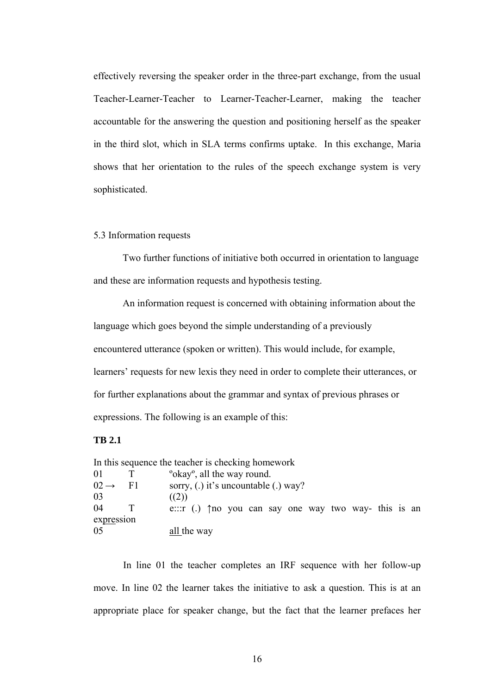effectively reversing the speaker order in the three-part exchange, from the usual Teacher-Learner-Teacher to Learner-Teacher-Learner, making the teacher accountable for the answering the question and positioning herself as the speaker in the third slot, which in SLA terms confirms uptake. In this exchange, Maria shows that her orientation to the rules of the speech exchange system is very sophisticated.

### 5.3 Information requests

Two further functions of initiative both occurred in orientation to language and these are information requests and hypothesis testing.

An information request is concerned with obtaining information about the language which goes beyond the simple understanding of a previously encountered utterance (spoken or written). This would include, for example, learners' requests for new lexis they need in order to complete their utterances, or for further explanations about the grammar and syntax of previous phrases or expressions. The following is an example of this:

# **TB 2.1**

|                  |      | In this sequence the teacher is checking homework    |
|------------------|------|------------------------------------------------------|
| -01              |      | "okay", all the way round.                           |
| $02 \rightarrow$ | - F1 | sorry, (.) it's uncountable (.) way?                 |
| 03               |      | ((2))                                                |
| 04               |      | e: $r(1)$ the you can say one way two way-this is an |
| expression       |      |                                                      |
| 05               |      | all the way                                          |

 In line 01 the teacher completes an IRF sequence with her follow-up move. In line 02 the learner takes the initiative to ask a question. This is at an appropriate place for speaker change, but the fact that the learner prefaces her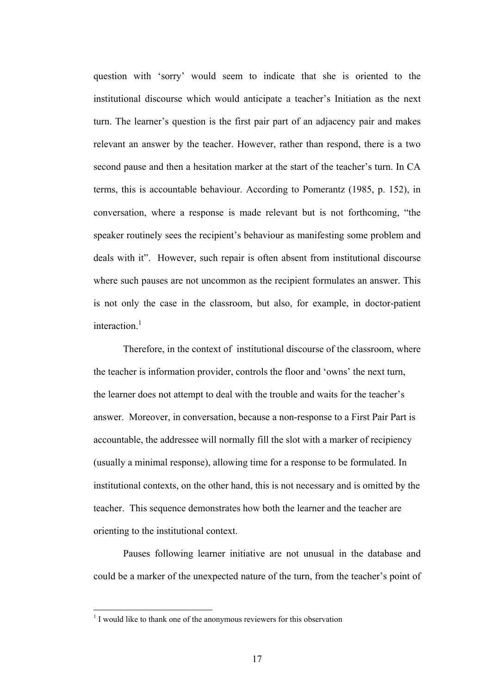question with 'sorry' would seem to indicate that she is oriented to the institutional discourse which would anticipate a teacher's Initiation as the next turn. The learner's question is the first pair part of an adjacency pair and makes relevant an answer by the teacher. However, rather than respond, there is a two second pause and then a hesitation marker at the start of the teacher's turn. In CA terms, this is accountable behaviour. According to Pomerantz (1985, p. 152), in conversation, where a response is made relevant but is not forthcoming, "the speaker routinely sees the recipient's behaviour as manifesting some problem and deals with it". However, such repair is often absent from institutional discourse where such pauses are not uncommon as the recipient formulates an answer. This is not only the case in the classroom, but also, for example, in doctor-patient interaction $1$ 

Therefore, in the context of institutional discourse of the classroom, where the teacher is information provider, controls the floor and 'owns' the next turn, the learner does not attempt to deal with the trouble and waits for the teacher's answer. Moreover, in conversation, because a non-response to a First Pair Part is accountable, the addressee will normally fill the slot with a marker of recipiency (usually a minimal response), allowing time for a response to be formulated. In institutional contexts, on the other hand, this is not necessary and is omitted by the teacher. This sequence demonstrates how both the learner and the teacher are orienting to the institutional context.

 Pauses following learner initiative are not unusual in the database and could be a marker of the unexpected nature of the turn, from the teacher's point of

 $\overline{a}$ 

<sup>&</sup>lt;sup>1</sup> I would like to thank one of the anonymous reviewers for this observation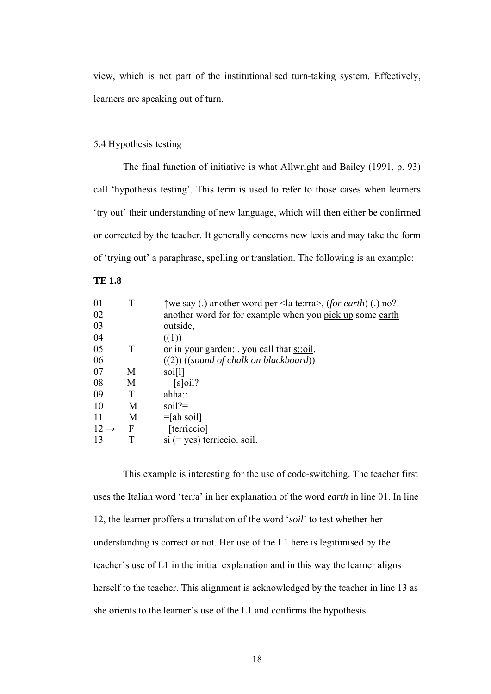view, which is not part of the institutionalised turn-taking system. Effectively, learners are speaking out of turn.

# 5.4 Hypothesis testing

 The final function of initiative is what Allwright and Bailey (1991, p. 93) call 'hypothesis testing'. This term is used to refer to those cases when learners 'try out' their understanding of new language, which will then either be confirmed or corrected by the teacher. It generally concerns new lexis and may take the form of 'trying out' a paraphrase, spelling or translation. The following is an example:

# **TE 1.8**

| 01               |   | Twe say (.) another word per <la te:rra="">, (for earth) (.) no?</la> |
|------------------|---|-----------------------------------------------------------------------|
| 02               |   | another word for for example when you pick up some earth              |
| 03               |   | outside,                                                              |
| 04               |   | ((1))                                                                 |
| 05               | T | or in your garden: , you call that $s$ : oil.                         |
| 06               |   | $((2))$ ((sound of chalk on blackboard))                              |
| 07               | M | soi[1]                                                                |
| 08               | M | $[s]$ oil?                                                            |
| 09               |   | $ahha$ ::                                                             |
| 10               | М | soil?                                                                 |
| 11               | М | $=$ [ah soil]                                                         |
| $12 \rightarrow$ | F | [terriccio]                                                           |
| 13               |   | $si (= yes)$ terriccio. soil.                                         |

This example is interesting for the use of code-switching. The teacher first uses the Italian word 'terra' in her explanation of the word *earth* in line 01. In line 12, the learner proffers a translation of the word '*soil*' to test whether her understanding is correct or not. Her use of the L1 here is legitimised by the teacher's use of L1 in the initial explanation and in this way the learner aligns herself to the teacher. This alignment is acknowledged by the teacher in line 13 as she orients to the learner's use of the L1 and confirms the hypothesis.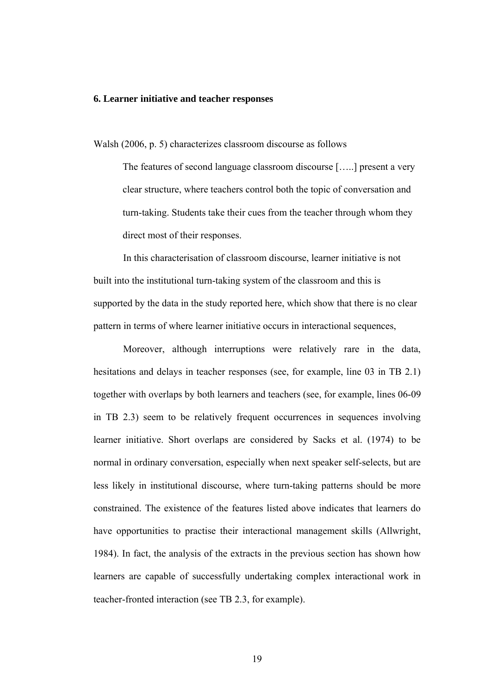### **6. Learner initiative and teacher responses**

Walsh (2006, p. 5) characterizes classroom discourse as follows

The features of second language classroom discourse […..] present a very clear structure, where teachers control both the topic of conversation and turn-taking. Students take their cues from the teacher through whom they direct most of their responses.

In this characterisation of classroom discourse, learner initiative is not built into the institutional turn-taking system of the classroom and this is supported by the data in the study reported here, which show that there is no clear pattern in terms of where learner initiative occurs in interactional sequences,

Moreover, although interruptions were relatively rare in the data, hesitations and delays in teacher responses (see, for example, line 03 in TB 2.1) together with overlaps by both learners and teachers (see, for example, lines 06-09 in TB 2.3) seem to be relatively frequent occurrences in sequences involving learner initiative. Short overlaps are considered by Sacks et al. (1974) to be normal in ordinary conversation, especially when next speaker self-selects, but are less likely in institutional discourse, where turn-taking patterns should be more constrained. The existence of the features listed above indicates that learners do have opportunities to practise their interactional management skills (Allwright, 1984). In fact, the analysis of the extracts in the previous section has shown how learners are capable of successfully undertaking complex interactional work in teacher-fronted interaction (see TB 2.3, for example).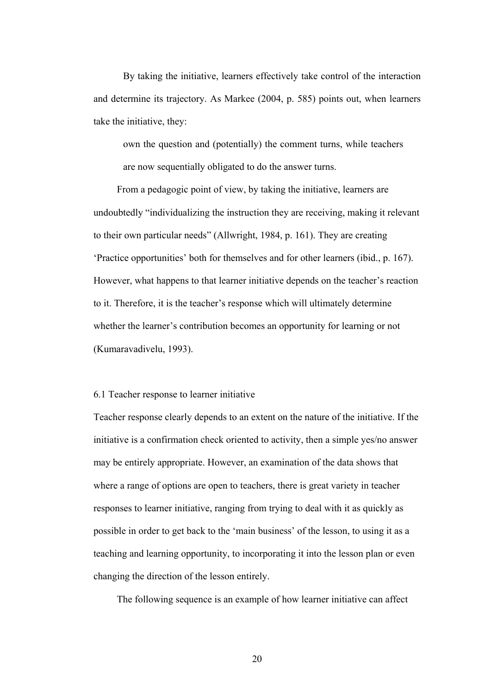By taking the initiative, learners effectively take control of the interaction and determine its trajectory. As Markee (2004, p. 585) points out, when learners take the initiative, they:

own the question and (potentially) the comment turns, while teachers are now sequentially obligated to do the answer turns.

From a pedagogic point of view, by taking the initiative, learners are undoubtedly "individualizing the instruction they are receiving, making it relevant to their own particular needs" (Allwright, 1984, p. 161). They are creating 'Practice opportunities' both for themselves and for other learners (ibid., p. 167). However, what happens to that learner initiative depends on the teacher's reaction to it. Therefore, it is the teacher's response which will ultimately determine whether the learner's contribution becomes an opportunity for learning or not (Kumaravadivelu, 1993).

# 6.1 Teacher response to learner initiative

Teacher response clearly depends to an extent on the nature of the initiative. If the initiative is a confirmation check oriented to activity, then a simple yes/no answer may be entirely appropriate. However, an examination of the data shows that where a range of options are open to teachers, there is great variety in teacher responses to learner initiative, ranging from trying to deal with it as quickly as possible in order to get back to the 'main business' of the lesson, to using it as a teaching and learning opportunity, to incorporating it into the lesson plan or even changing the direction of the lesson entirely.

The following sequence is an example of how learner initiative can affect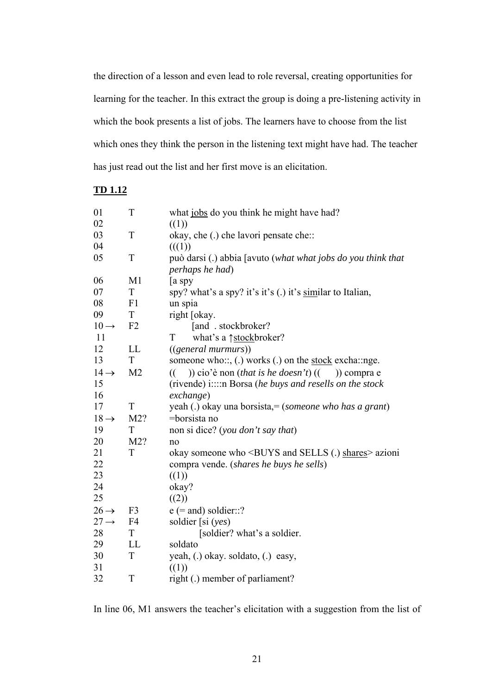the direction of a lesson and even lead to role reversal, creating opportunities for learning for the teacher. In this extract the group is doing a pre-listening activity in which the book presents a list of jobs. The learners have to choose from the list which ones they think the person in the listening text might have had. The teacher has just read out the list and her first move is an elicitation.

# **TD 1.12**

| 01               | T              | what jobs do you think he might have had?                                  |
|------------------|----------------|----------------------------------------------------------------------------|
| 02               |                | ((1))                                                                      |
| 03               | T              | okay, che (.) che lavori pensate che::                                     |
| 04               |                | (((1))                                                                     |
| 05               | T              | può darsi (.) abbia [avuto (what what jobs do you think that               |
|                  |                | perhaps he had)                                                            |
| 06               | M1             | a spy                                                                      |
| 07               | T              | spy? what's a spy? it's it's (.) it's similar to Italian,                  |
| 08               | F1             | un spia                                                                    |
| 09               | $\mathbf T$    | right [okay.                                                               |
| $10 \rightarrow$ | F <sub>2</sub> | [and . stockbroker?                                                        |
| 11               |                | T<br>what's a <u>↑stock</u> broker?                                        |
| 12               | LL             | $((general \, murnurs))$                                                   |
| 13               | T              | someone who::, (.) works (.) on the <u>stock</u> excha::nge.               |
| $14 \rightarrow$ | M <sub>2</sub> | )) cio'è non <i>(that is he doesn't)</i> $(($ )) compra e<br>$\mathcal{L}$ |
| 15               |                | (rivende) i::::n Borsa (he buys and resells on the stock                   |
| 16               |                | exchange)                                                                  |
| 17               | T              | yeah (.) okay una borsista, = (someone who has a grant)                    |
| $18 \rightarrow$ | M2?            | $=$ borsista no                                                            |
| 19               | $\mathbf T$    | non si dice? (you don't say that)                                          |
| 20               | M2?            | no                                                                         |
| 21               | T              | okay someone who <buys (.)="" and="" sells="" shares=""> azioni</buys>     |
| 22               |                | compra vende. (shares he buys he sells)                                    |
| 23               |                | ((1))                                                                      |
| 24               |                | okay?                                                                      |
| 25               |                | ((2))                                                                      |
| $26 \rightarrow$ | F <sub>3</sub> | $e$ (= and) soldier::?                                                     |
| $27 \rightarrow$ | F <sub>4</sub> | soldier [si $(yes)$                                                        |
| 28               | T              | [soldier? what's a soldier.                                                |
| 29               | <b>LL</b>      | soldato                                                                    |
| 30               | $\mathbf T$    | yeah, (.) okay. soldato, (.) easy,                                         |
| 31               |                | ((1))                                                                      |
| 32               | T              | right (.) member of parliament?                                            |

In line 06, M1 answers the teacher's elicitation with a suggestion from the list of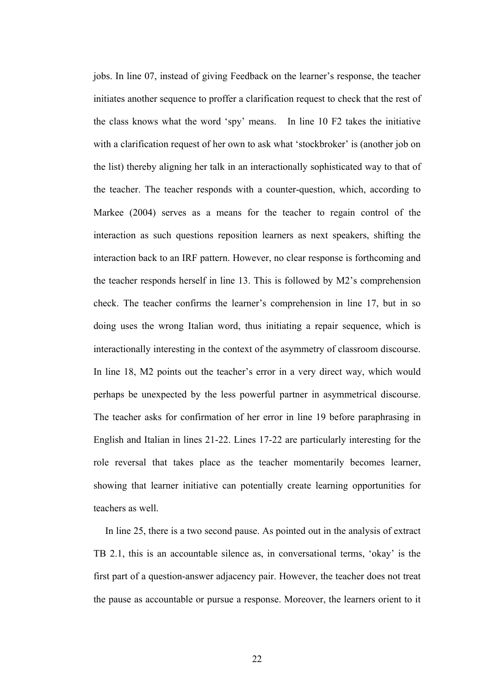jobs. In line 07, instead of giving Feedback on the learner's response, the teacher initiates another sequence to proffer a clarification request to check that the rest of the class knows what the word 'spy' means. In line 10 F2 takes the initiative with a clarification request of her own to ask what 'stockbroker' is (another job on the list) thereby aligning her talk in an interactionally sophisticated way to that of the teacher. The teacher responds with a counter-question, which, according to Markee (2004) serves as a means for the teacher to regain control of the interaction as such questions reposition learners as next speakers, shifting the interaction back to an IRF pattern. However, no clear response is forthcoming and the teacher responds herself in line 13. This is followed by M2's comprehension check. The teacher confirms the learner's comprehension in line 17, but in so doing uses the wrong Italian word, thus initiating a repair sequence, which is interactionally interesting in the context of the asymmetry of classroom discourse. In line 18, M2 points out the teacher's error in a very direct way, which would perhaps be unexpected by the less powerful partner in asymmetrical discourse. The teacher asks for confirmation of her error in line 19 before paraphrasing in English and Italian in lines 21-22. Lines 17-22 are particularly interesting for the role reversal that takes place as the teacher momentarily becomes learner, showing that learner initiative can potentially create learning opportunities for teachers as well.

 In line 25, there is a two second pause. As pointed out in the analysis of extract TB 2.1, this is an accountable silence as, in conversational terms, 'okay' is the first part of a question-answer adjacency pair. However, the teacher does not treat the pause as accountable or pursue a response. Moreover, the learners orient to it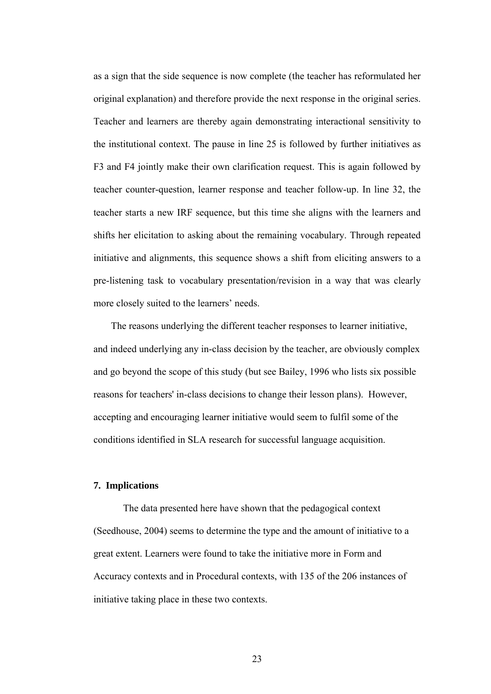as a sign that the side sequence is now complete (the teacher has reformulated her original explanation) and therefore provide the next response in the original series. Teacher and learners are thereby again demonstrating interactional sensitivity to the institutional context. The pause in line 25 is followed by further initiatives as F3 and F4 jointly make their own clarification request. This is again followed by teacher counter-question, learner response and teacher follow-up. In line 32, the teacher starts a new IRF sequence, but this time she aligns with the learners and shifts her elicitation to asking about the remaining vocabulary. Through repeated initiative and alignments, this sequence shows a shift from eliciting answers to a pre-listening task to vocabulary presentation/revision in a way that was clearly more closely suited to the learners' needs.

The reasons underlying the different teacher responses to learner initiative, and indeed underlying any in-class decision by the teacher, are obviously complex and go beyond the scope of this study (but see Bailey, 1996 who lists six possible reasons for teachers' in-class decisions to change their lesson plans). However, accepting and encouraging learner initiative would seem to fulfil some of the conditions identified in SLA research for successful language acquisition.

### **7. Implications**

The data presented here have shown that the pedagogical context (Seedhouse, 2004) seems to determine the type and the amount of initiative to a great extent. Learners were found to take the initiative more in Form and Accuracy contexts and in Procedural contexts, with 135 of the 206 instances of initiative taking place in these two contexts.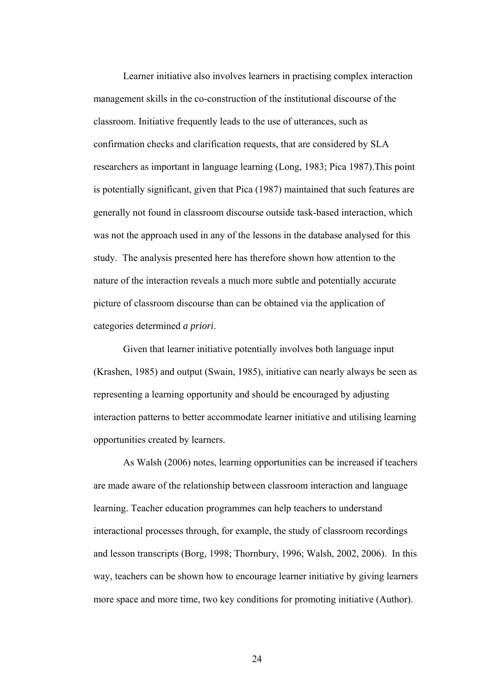Learner initiative also involves learners in practising complex interaction management skills in the co-construction of the institutional discourse of the classroom. Initiative frequently leads to the use of utterances, such as confirmation checks and clarification requests, that are considered by SLA researchers as important in language learning (Long, 1983; Pica 1987).This point is potentially significant, given that Pica (1987) maintained that such features are generally not found in classroom discourse outside task-based interaction, which was not the approach used in any of the lessons in the database analysed for this study. The analysis presented here has therefore shown how attention to the nature of the interaction reveals a much more subtle and potentially accurate picture of classroom discourse than can be obtained via the application of categories determined *a priori*.

Given that learner initiative potentially involves both language input (Krashen, 1985) and output (Swain, 1985), initiative can nearly always be seen as representing a learning opportunity and should be encouraged by adjusting interaction patterns to better accommodate learner initiative and utilising learning opportunities created by learners.

 As Walsh (2006) notes, learning opportunities can be increased if teachers are made aware of the relationship between classroom interaction and language learning. Teacher education programmes can help teachers to understand interactional processes through, for example, the study of classroom recordings and lesson transcripts (Borg, 1998; Thornbury, 1996; Walsh, 2002, 2006). In this way, teachers can be shown how to encourage learner initiative by giving learners more space and more time, two key conditions for promoting initiative (Author).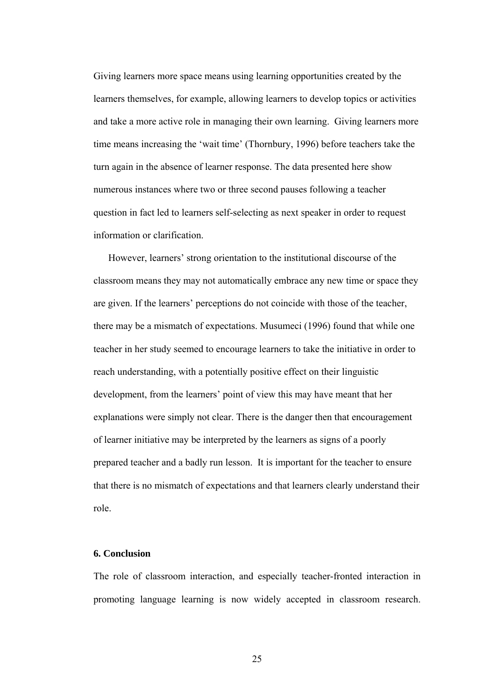Giving learners more space means using learning opportunities created by the learners themselves, for example, allowing learners to develop topics or activities and take a more active role in managing their own learning. Giving learners more time means increasing the 'wait time' (Thornbury, 1996) before teachers take the turn again in the absence of learner response. The data presented here show numerous instances where two or three second pauses following a teacher question in fact led to learners self-selecting as next speaker in order to request information or clarification.

 However, learners' strong orientation to the institutional discourse of the classroom means they may not automatically embrace any new time or space they are given. If the learners' perceptions do not coincide with those of the teacher, there may be a mismatch of expectations. Musumeci (1996) found that while one teacher in her study seemed to encourage learners to take the initiative in order to reach understanding, with a potentially positive effect on their linguistic development, from the learners' point of view this may have meant that her explanations were simply not clear. There is the danger then that encouragement of learner initiative may be interpreted by the learners as signs of a poorly prepared teacher and a badly run lesson. It is important for the teacher to ensure that there is no mismatch of expectations and that learners clearly understand their role.

### **6. Conclusion**

The role of classroom interaction, and especially teacher-fronted interaction in promoting language learning is now widely accepted in classroom research.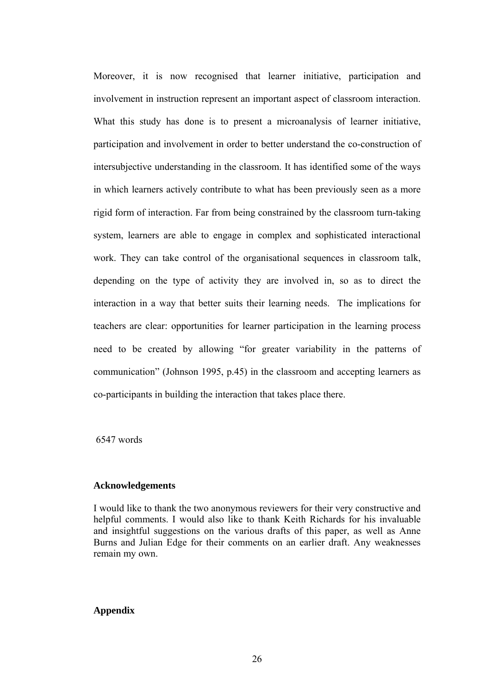Moreover, it is now recognised that learner initiative, participation and involvement in instruction represent an important aspect of classroom interaction. What this study has done is to present a microanalysis of learner initiative, participation and involvement in order to better understand the co-construction of intersubjective understanding in the classroom. It has identified some of the ways in which learners actively contribute to what has been previously seen as a more rigid form of interaction. Far from being constrained by the classroom turn-taking system, learners are able to engage in complex and sophisticated interactional work. They can take control of the organisational sequences in classroom talk, depending on the type of activity they are involved in, so as to direct the interaction in a way that better suits their learning needs. The implications for teachers are clear: opportunities for learner participation in the learning process need to be created by allowing "for greater variability in the patterns of communication" (Johnson 1995, p.45) in the classroom and accepting learners as co-participants in building the interaction that takes place there.

6547 words

### **Acknowledgements**

I would like to thank the two anonymous reviewers for their very constructive and helpful comments. I would also like to thank Keith Richards for his invaluable and insightful suggestions on the various drafts of this paper, as well as Anne Burns and Julian Edge for their comments on an earlier draft. Any weaknesses remain my own.

## **Appendix**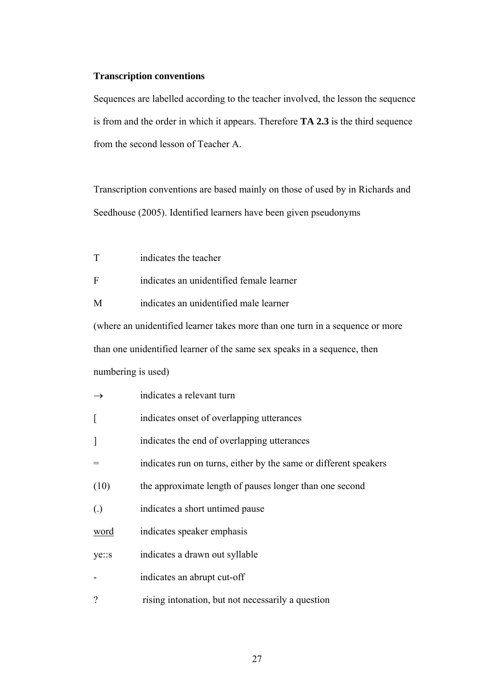### **Transcription conventions**

Sequences are labelled according to the teacher involved, the lesson the sequence is from and the order in which it appears. Therefore **TA 2.3** is the third sequence from the second lesson of Teacher A.

Transcription conventions are based mainly on those of used by in Richards and Seedhouse (2005). Identified learners have been given pseudonyms

T indicates the teacher

F indicates an unidentified female learner

M indicates an unidentified male learner

(where an unidentified learner takes more than one turn in a sequence or more than one unidentified learner of the same sex speaks in a sequence, then numbering is used)

|                   | indicates a relevant turn                                        |
|-------------------|------------------------------------------------------------------|
|                   | indicates onset of overlapping utterances                        |
| $\mathcal{I}$     | indicates the end of overlapping utterances                      |
|                   | indicates run on turns, either by the same or different speakers |
| (10)              | the approximate length of pauses longer than one second          |
| $\left( .\right)$ | indicates a short untimed pause                                  |
| word              | indicates speaker emphasis                                       |
| ye::s             | indicates a drawn out syllable                                   |
|                   | indicates an abrupt cut-off                                      |
| $\gamma$          | rising intonation, but not necessarily a question                |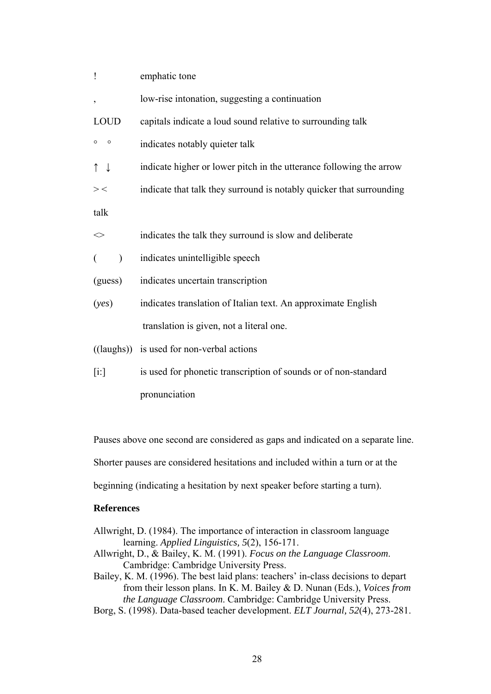| emphatic tone                                                        |  |  |
|----------------------------------------------------------------------|--|--|
| low-rise intonation, suggesting a continuation                       |  |  |
| capitals indicate a loud sound relative to surrounding talk          |  |  |
| indicates notably quieter talk                                       |  |  |
| indicate higher or lower pitch in the utterance following the arrow  |  |  |
| indicate that talk they surround is notably quicker that surrounding |  |  |
|                                                                      |  |  |
| indicates the talk they surround is slow and deliberate              |  |  |
| indicates unintelligible speech                                      |  |  |
| indicates uncertain transcription                                    |  |  |
| indicates translation of Italian text. An approximate English        |  |  |
| translation is given, not a literal one.                             |  |  |
| ((laughs)) is used for non-verbal actions                            |  |  |
| is used for phonetic transcription of sounds or of non-standard      |  |  |
| pronunciation                                                        |  |  |
|                                                                      |  |  |

Pauses above one second are considered as gaps and indicated on a separate line. Shorter pauses are considered hesitations and included within a turn or at the beginning (indicating a hesitation by next speaker before starting a turn).

## **References**

- Allwright, D. (1984). The importance of interaction in classroom language learning. *Applied Linguistics, 5*(2), 156-171.
- Allwright, D., & Bailey, K. M. (1991). *Focus on the Language Classroom*. Cambridge: Cambridge University Press.
- Bailey, K. M. (1996). The best laid plans: teachers' in-class decisions to depart from their lesson plans. In K. M. Bailey & D. Nunan (Eds.), *Voices from the Language Classroom*. Cambridge: Cambridge University Press.
- Borg, S. (1998). Data-based teacher development. *ELT Journal, 52*(4), 273-281.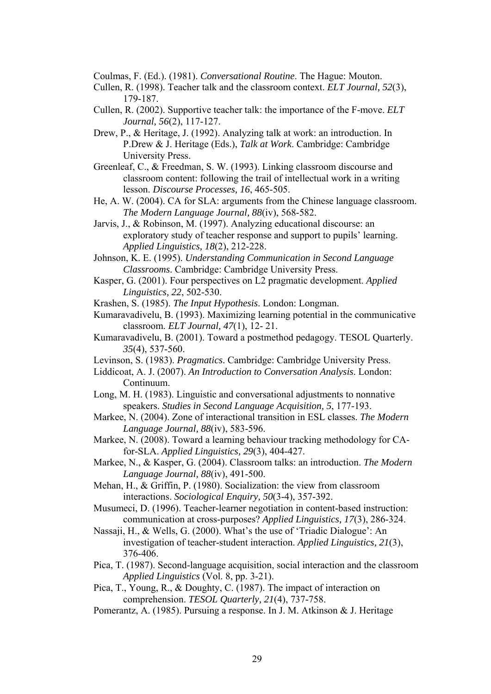Coulmas, F. (Ed.). (1981). *Conversational Routine*. The Hague: Mouton.

- Cullen, R. (1998). Teacher talk and the classroom context. *ELT Journal, 52*(3), 179-187.
- Cullen, R. (2002). Supportive teacher talk: the importance of the F-move. *ELT Journal, 56*(2), 117-127.
- Drew, P., & Heritage, J. (1992). Analyzing talk at work: an introduction. In P.Drew & J. Heritage (Eds.), *Talk at Work*. Cambridge: Cambridge University Press.
- Greenleaf, C., & Freedman, S. W. (1993). Linking classroom discourse and classroom content: following the trail of intellectual work in a writing lesson. *Discourse Processes, 16*, 465-505.
- He, A. W. (2004). CA for SLA: arguments from the Chinese language classroom. *The Modern Language Journal, 88*(iv), 568-582.
- Jarvis, J., & Robinson, M. (1997). Analyzing educational discourse: an exploratory study of teacher response and support to pupils' learning. *Applied Linguistics, 18*(2), 212-228.
- Johnson, K. E. (1995). *Understanding Communication in Second Language Classrooms*. Cambridge: Cambridge University Press.
- Kasper, G. (2001). Four perspectives on L2 pragmatic development. *Applied Linguistics, 22*, 502-530.
- Krashen, S. (1985). *The Input Hypothesis*. London: Longman.
- Kumaravadivelu, B. (1993). Maximizing learning potential in the communicative classroom. *ELT Journal, 47*(1), 12- 21.
- Kumaravadivelu, B. (2001). Toward a postmethod pedagogy. TESOL Quarterly. *35*(4), 537-560.
- Levinson, S. (1983). *Pragmatics*. Cambridge: Cambridge University Press.
- Liddicoat, A. J. (2007). *An Introduction to Conversation Analysis*. London: Continuum.
- Long, M. H. (1983). Linguistic and conversational adjustments to nonnative speakers. *Studies in Second Language Acquisition, 5*, 177-193.
- Markee, N. (2004). Zone of interactional transition in ESL classes. *The Modern Language Journal, 88*(iv), 583-596.
- Markee, N. (2008). Toward a learning behaviour tracking methodology for CAfor-SLA. *Applied Linguistics, 29*(3), 404-427.
- Markee, N., & Kasper, G. (2004). Classroom talks: an introduction. *The Modern Language Journal, 88*(iv), 491-500.
- Mehan, H., & Griffin, P. (1980). Socialization: the view from classroom interactions. *Sociological Enquiry, 50*(3-4), 357-392.
- Musumeci, D. (1996). Teacher-learner negotiation in content-based instruction: communication at cross-purposes? *Applied Linguistics, 17*(3), 286-324.
- Nassaji, H., & Wells, G. (2000). What's the use of 'Triadic Dialogue': An investigation of teacher-student interaction. *Applied Linguistics, 21*(3), 376-406.
- Pica, T. (1987). Second-language acquisition, social interaction and the classroom *Applied Linguistics* (Vol. 8, pp. 3-21).
- Pica, T., Young, R., & Doughty, C. (1987). The impact of interaction on comprehension. *TESOL Quarterly, 21*(4), 737-758.
- Pomerantz, A. (1985). Pursuing a response. In J. M. Atkinson & J. Heritage